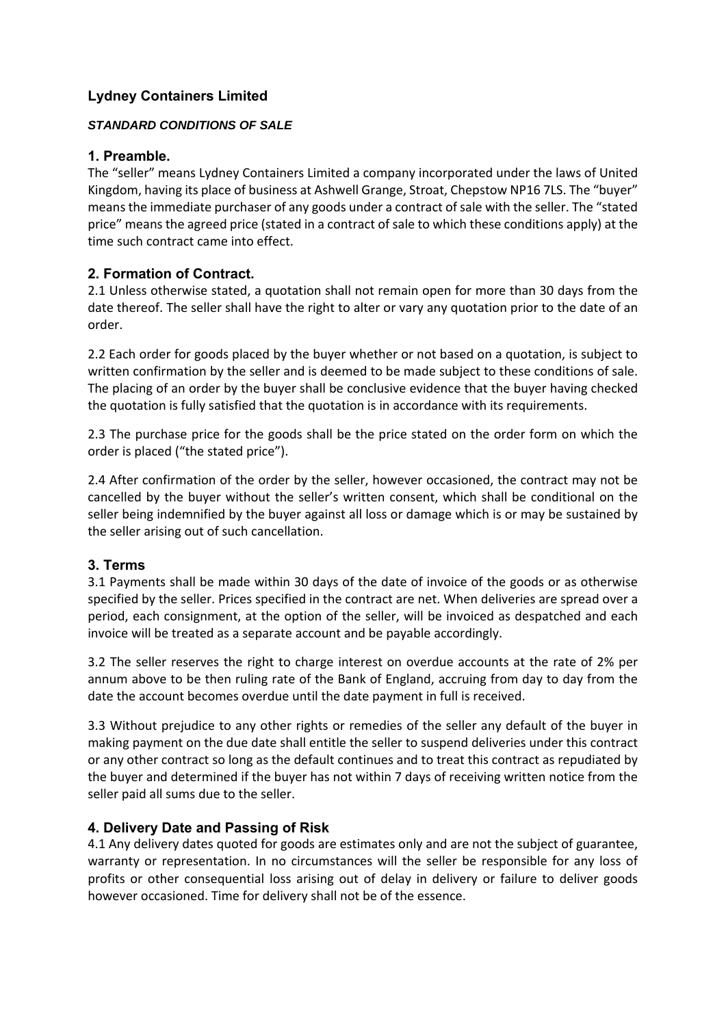# **Lydney Containers Limited**

#### *STANDARD CONDITIONS OF SALE*

#### **1. Preamble.**

The "seller" means Lydney Containers Limited a company incorporated under the laws of United Kingdom, having its place of business at Ashwell Grange, Stroat, Chepstow NP16 7LS. The "buyer" means the immediate purchaser of any goods under a contract of sale with the seller. The "stated price" means the agreed price (stated in a contract of sale to which these conditions apply) at the time such contract came into effect.

# **2. Formation of Contract.**

2.1 Unless otherwise stated, a quotation shall not remain open for more than 30 days from the date thereof. The seller shall have the right to alter or vary any quotation prior to the date of an order.

2.2 Each order for goods placed by the buyer whether or not based on a quotation, is subject to written confirmation by the seller and is deemed to be made subject to these conditions of sale. The placing of an order by the buyer shall be conclusive evidence that the buyer having checked the quotation is fully satisfied that the quotation is in accordance with its requirements.

2.3 The purchase price for the goods shall be the price stated on the order form on which the order is placed ("the stated price").

2.4 After confirmation of the order by the seller, however occasioned, the contract may not be cancelled by the buyer without the seller's written consent, which shall be conditional on the seller being indemnified by the buyer against all loss or damage which is or may be sustained by the seller arising out of such cancellation.

# **3. Terms**

3.1 Payments shall be made within 30 days of the date of invoice of the goods or as otherwise specified by the seller. Prices specified in the contract are net. When deliveries are spread over a period, each consignment, at the option of the seller, will be invoiced as despatched and each invoice will be treated as a separate account and be payable accordingly.

3.2 The seller reserves the right to charge interest on overdue accounts at the rate of 2% per annum above to be then ruling rate of the Bank of England, accruing from day to day from the date the account becomes overdue until the date payment in full is received.

3.3 Without prejudice to any other rights or remedies of the seller any default of the buyer in making payment on the due date shall entitle the seller to suspend deliveries under this contract or any other contract so long as the default continues and to treat this contract as repudiated by the buyer and determined if the buyer has not within 7 days of receiving written notice from the seller paid all sums due to the seller.

# **4. Delivery Date and Passing of Risk**

4.1 Any delivery dates quoted for goods are estimates only and are not the subject of guarantee, warranty or representation. In no circumstances will the seller be responsible for any loss of profits or other consequential loss arising out of delay in delivery or failure to deliver goods however occasioned. Time for delivery shall not be of the essence.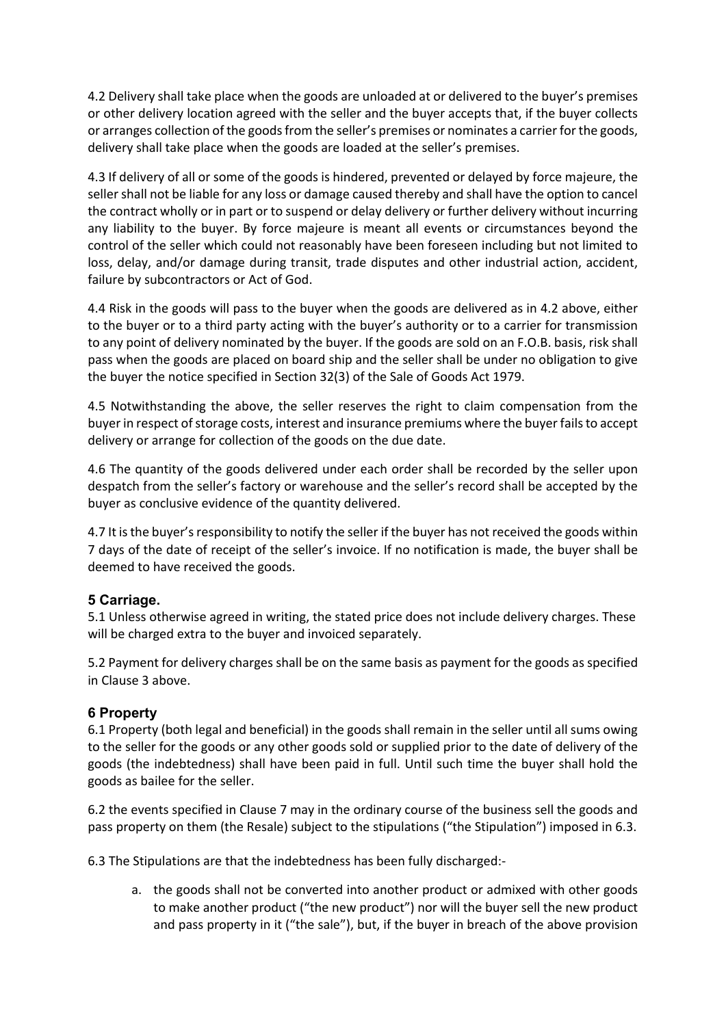4.2 Delivery shall take place when the goods are unloaded at or delivered to the buyer's premises or other delivery location agreed with the seller and the buyer accepts that, if the buyer collects or arranges collection of the goods from the seller's premises or nominates a carrier for the goods, delivery shall take place when the goods are loaded at the seller's premises.

4.3 If delivery of all or some of the goods is hindered, prevented or delayed by force majeure, the seller shall not be liable for any loss or damage caused thereby and shall have the option to cancel the contract wholly or in part or to suspend or delay delivery or further delivery without incurring any liability to the buyer. By force majeure is meant all events or circumstances beyond the control of the seller which could not reasonably have been foreseen including but not limited to loss, delay, and/or damage during transit, trade disputes and other industrial action, accident, failure by subcontractors or Act of God.

4.4 Risk in the goods will pass to the buyer when the goods are delivered as in 4.2 above, either to the buyer or to a third party acting with the buyer's authority or to a carrier for transmission to any point of delivery nominated by the buyer. If the goods are sold on an F.O.B. basis, risk shall pass when the goods are placed on board ship and the seller shall be under no obligation to give the buyer the notice specified in Section 32(3) of the Sale of Goods Act 1979.

4.5 Notwithstanding the above, the seller reserves the right to claim compensation from the buyer in respect of storage costs, interest and insurance premiums where the buyer fails to accept delivery or arrange for collection of the goods on the due date.

4.6 The quantity of the goods delivered under each order shall be recorded by the seller upon despatch from the seller's factory or warehouse and the seller's record shall be accepted by the buyer as conclusive evidence of the quantity delivered.

4.7 It is the buyer's responsibility to notify the seller if the buyer has not received the goods within 7 days of the date of receipt of the seller's invoice. If no notification is made, the buyer shall be deemed to have received the goods.

# **5 Carriage.**

5.1 Unless otherwise agreed in writing, the stated price does not include delivery charges. These will be charged extra to the buyer and invoiced separately.

5.2 Payment for delivery charges shall be on the same basis as payment for the goods as specified in Clause 3 above.

# **6 Property**

6.1 Property (both legal and beneficial) in the goods shall remain in the seller until all sums owing to the seller for the goods or any other goods sold or supplied prior to the date of delivery of the goods (the indebtedness) shall have been paid in full. Until such time the buyer shall hold the goods as bailee for the seller.

6.2 the events specified in Clause 7 may in the ordinary course of the business sell the goods and pass property on them (the Resale) subject to the stipulations ("the Stipulation") imposed in 6.3.

6.3 The Stipulations are that the indebtedness has been fully discharged:‐

a. the goods shall not be converted into another product or admixed with other goods to make another product ("the new product") nor will the buyer sell the new product and pass property in it ("the sale"), but, if the buyer in breach of the above provision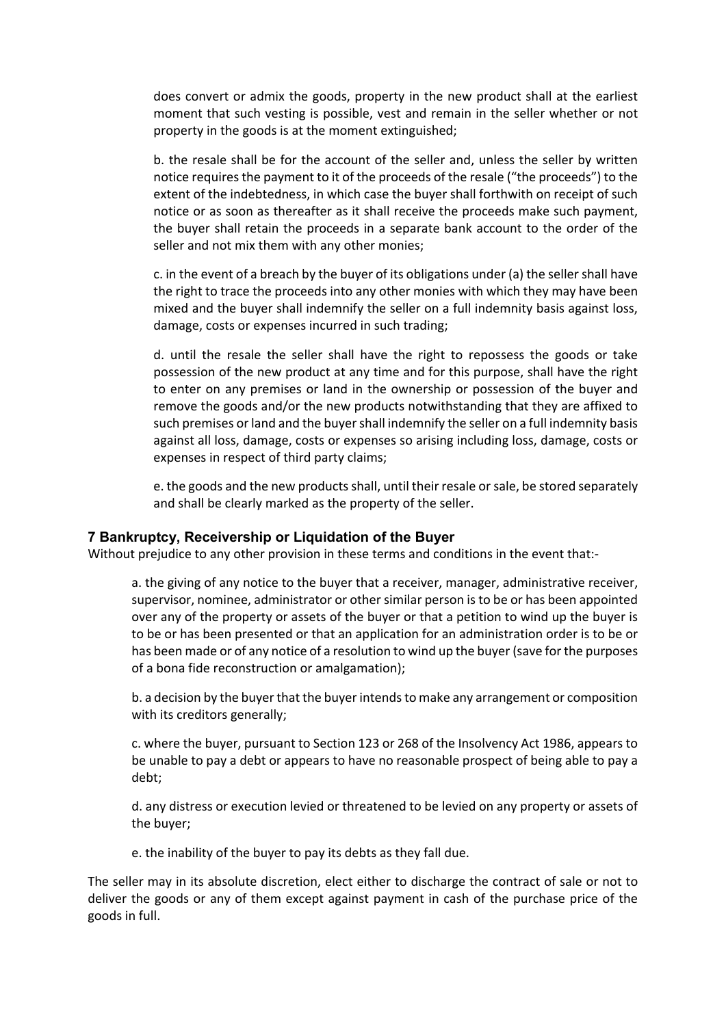does convert or admix the goods, property in the new product shall at the earliest moment that such vesting is possible, vest and remain in the seller whether or not property in the goods is at the moment extinguished;

b. the resale shall be for the account of the seller and, unless the seller by written notice requires the payment to it of the proceeds of the resale ("the proceeds") to the extent of the indebtedness, in which case the buyer shall forthwith on receipt of such notice or as soon as thereafter as it shall receive the proceeds make such payment, the buyer shall retain the proceeds in a separate bank account to the order of the seller and not mix them with any other monies;

c. in the event of a breach by the buyer of its obligations under (a) the seller shall have the right to trace the proceeds into any other monies with which they may have been mixed and the buyer shall indemnify the seller on a full indemnity basis against loss, damage, costs or expenses incurred in such trading;

d. until the resale the seller shall have the right to repossess the goods or take possession of the new product at any time and for this purpose, shall have the right to enter on any premises or land in the ownership or possession of the buyer and remove the goods and/or the new products notwithstanding that they are affixed to such premises or land and the buyer shall indemnify the seller on a full indemnity basis against all loss, damage, costs or expenses so arising including loss, damage, costs or expenses in respect of third party claims;

e. the goods and the new products shall, until their resale or sale, be stored separately and shall be clearly marked as the property of the seller.

#### **7 Bankruptcy, Receivership or Liquidation of the Buyer**

Without prejudice to any other provision in these terms and conditions in the event that:-

a. the giving of any notice to the buyer that a receiver, manager, administrative receiver, supervisor, nominee, administrator or other similar person is to be or has been appointed over any of the property or assets of the buyer or that a petition to wind up the buyer is to be or has been presented or that an application for an administration order is to be or has been made or of any notice of a resolution to wind up the buyer (save for the purposes of a bona fide reconstruction or amalgamation);

b. a decision by the buyer that the buyer intends to make any arrangement or composition with its creditors generally;

c. where the buyer, pursuant to Section 123 or 268 of the Insolvency Act 1986, appears to be unable to pay a debt or appears to have no reasonable prospect of being able to pay a debt;

d. any distress or execution levied or threatened to be levied on any property or assets of the buyer;

e. the inability of the buyer to pay its debts as they fall due.

The seller may in its absolute discretion, elect either to discharge the contract of sale or not to deliver the goods or any of them except against payment in cash of the purchase price of the goods in full.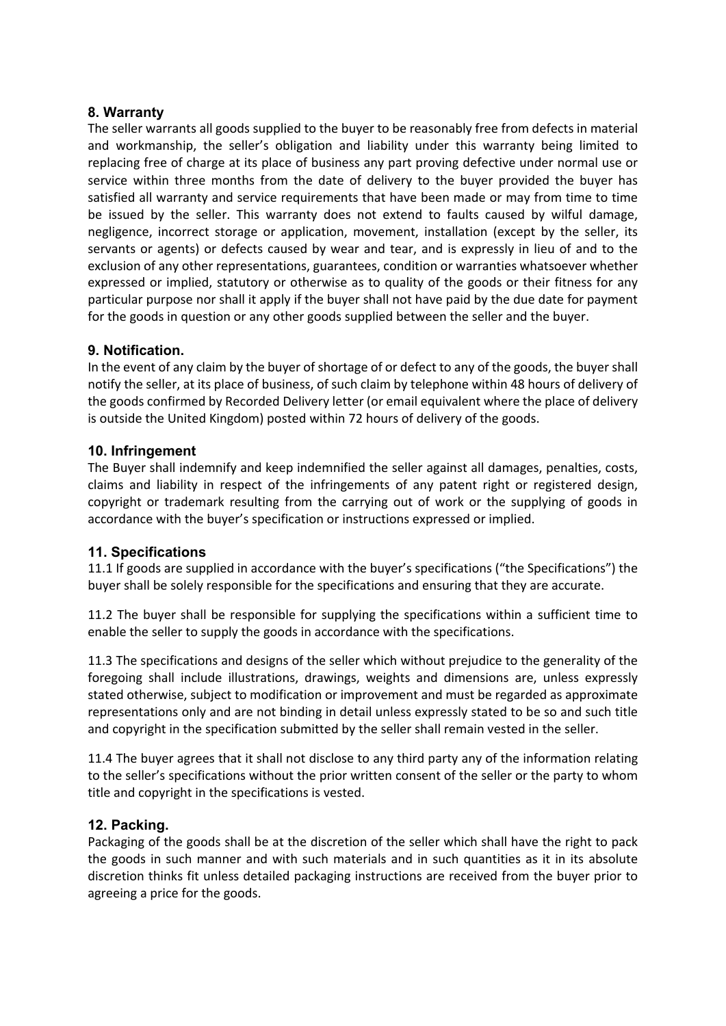#### **8. Warranty**

The seller warrants all goods supplied to the buyer to be reasonably free from defects in material and workmanship, the seller's obligation and liability under this warranty being limited to replacing free of charge at its place of business any part proving defective under normal use or service within three months from the date of delivery to the buyer provided the buyer has satisfied all warranty and service requirements that have been made or may from time to time be issued by the seller. This warranty does not extend to faults caused by wilful damage, negligence, incorrect storage or application, movement, installation (except by the seller, its servants or agents) or defects caused by wear and tear, and is expressly in lieu of and to the exclusion of any other representations, guarantees, condition or warranties whatsoever whether expressed or implied, statutory or otherwise as to quality of the goods or their fitness for any particular purpose nor shall it apply if the buyer shall not have paid by the due date for payment for the goods in question or any other goods supplied between the seller and the buyer.

# **9. Notification.**

In the event of any claim by the buyer of shortage of or defect to any of the goods, the buyer shall notify the seller, at its place of business, of such claim by telephone within 48 hours of delivery of the goods confirmed by Recorded Delivery letter (or email equivalent where the place of delivery is outside the United Kingdom) posted within 72 hours of delivery of the goods.

### **10. Infringement**

The Buyer shall indemnify and keep indemnified the seller against all damages, penalties, costs, claims and liability in respect of the infringements of any patent right or registered design, copyright or trademark resulting from the carrying out of work or the supplying of goods in accordance with the buyer's specification or instructions expressed or implied.

# **11. Specifications**

11.1 If goods are supplied in accordance with the buyer's specifications ("the Specifications") the buyer shall be solely responsible for the specifications and ensuring that they are accurate.

11.2 The buyer shall be responsible for supplying the specifications within a sufficient time to enable the seller to supply the goods in accordance with the specifications.

11.3 The specifications and designs of the seller which without prejudice to the generality of the foregoing shall include illustrations, drawings, weights and dimensions are, unless expressly stated otherwise, subject to modification or improvement and must be regarded as approximate representations only and are not binding in detail unless expressly stated to be so and such title and copyright in the specification submitted by the seller shall remain vested in the seller.

11.4 The buyer agrees that it shall not disclose to any third party any of the information relating to the seller's specifications without the prior written consent of the seller or the party to whom title and copyright in the specifications is vested.

# **12. Packing.**

Packaging of the goods shall be at the discretion of the seller which shall have the right to pack the goods in such manner and with such materials and in such quantities as it in its absolute discretion thinks fit unless detailed packaging instructions are received from the buyer prior to agreeing a price for the goods.